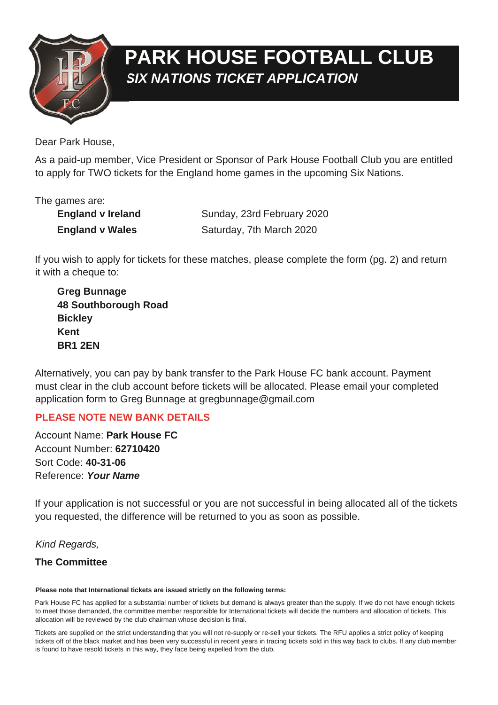

# **PARK HOUSE FOOTBALL CLUB** *SIX NATIONS TICKET APPLICATION*

Dear Park House,

As a paid-up member, Vice President or Sponsor of Park House Football Club you are entitled to apply for TWO tickets for the England home games in the upcoming Six Nations.

The games are:

| <b>England v Ireland</b> | Sunday, 23rd February 2020 |
|--------------------------|----------------------------|
| <b>England v Wales</b>   | Saturday, 7th March 2020   |

If you wish to apply for tickets for these matches, please complete the form (pg. 2) and return it with a cheque to:

 **Greg Bunnage 48 Southborough Road Bickley Kent BR1 2EN**

Alternatively, you can pay by bank transfer to the Park House FC bank account. Payment must clear in the club account before tickets will be allocated. Please email your completed application form to Greg Bunnage at gregbunnage@gmail.com

### **PLEASE NOTE NEW BANK DETAILS**

Account Name: **Park House FC** Account Number: **62710420** Sort Code: **40-31-06** Reference: *Your Name*

If your application is not successful or you are not successful in being allocated all of the tickets you requested, the difference will be returned to you as soon as possible.

*Kind Regards,*

### **The Committee**

#### **Please note that International tickets are issued strictly on the following terms:**

Park House FC has applied for a substantial number of tickets but demand is always greater than the supply. If we do not have enough tickets to meet those demanded, the committee member responsible for International tickets will decide the numbers and allocation of tickets. This allocation will be reviewed by the club chairman whose decision is final.

Tickets are supplied on the strict understanding that you will not re-supply or re-sell your tickets. The RFU applies a strict policy of keeping tickets off of the black market and has been very successful in recent years in tracing tickets sold in this way back to clubs. If any club member is found to have resold tickets in this way, they face being expelled from the club.